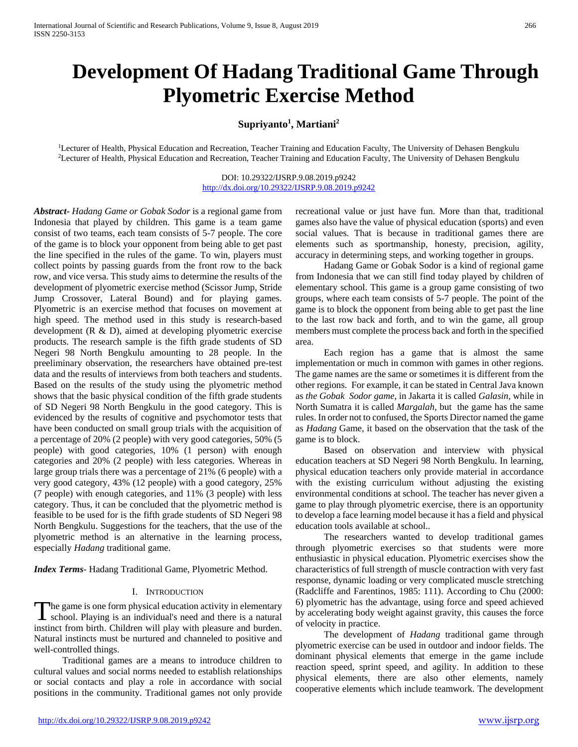# **Development Of Hadang Traditional Game Through Plyometric Exercise Method**

## $\text{Supriyanto}^1, \text{Martin}^2$

<sup>1</sup>Lecturer of Health, Physical Education and Recreation, Teacher Training and Education Faculty, The University of Dehasen Bengkulu <sup>2</sup>Lecturer of Health, Physical Education and Recreation, Teacher Training and Education Faculty, The University of Dehasen Bengkulu

> DOI: 10.29322/IJSRP.9.08.2019.p9242 <http://dx.doi.org/10.29322/IJSRP.9.08.2019.p9242>

*Abstract***-** *Hadang Game or Gobak Sodor* is a regional game from Indonesia that played by children. This game is a team game consist of two teams, each team consists of 5-7 people. The core of the game is to block your opponent from being able to get past the line specified in the rules of the game. To win, players must collect points by passing guards from the front row to the back row, and vice versa. This study aims to determine the results of the development of plyometric exercise method (Scissor Jump, Stride Jump Crossover, Lateral Bound) and for playing games. Plyometric is an exercise method that focuses on movement at high speed. The method used in this study is research-based development (R & D), aimed at developing plyometric exercise products. The research sample is the fifth grade students of SD Negeri 98 North Bengkulu amounting to 28 people. In the preeliminary observation, the researchers have obtained pre-test data and the results of interviews from both teachers and students. Based on the results of the study using the plyometric method shows that the basic physical condition of the fifth grade students of SD Negeri 98 North Bengkulu in the good category. This is evidenced by the results of cognitive and psychomotor tests that have been conducted on small group trials with the acquisition of a percentage of 20% (2 people) with very good categories, 50% (5 people) with good categories, 10% (1 person) with enough categories and 20% (2 people) with less categories. Whereas in large group trials there was a percentage of 21% (6 people) with a very good category, 43% (12 people) with a good category, 25% (7 people) with enough categories, and 11% (3 people) with less category. Thus, it can be concluded that the plyometric method is feasible to be used for is the fifth grade students of SD Negeri 98 North Bengkulu. Suggestions for the teachers, that the use of the plyometric method is an alternative in the learning process, especially *Hadang* traditional game.

*Index Terms*- Hadang Traditional Game, Plyometric Method.

#### I. INTRODUCTION

The game is one form physical education activity in elementary The game is one form physical education activity in elementary school. Playing is an individual's need and there is a natural instinct from birth. Children will play with pleasure and burden. Natural instincts must be nurtured and channeled to positive and well-controlled things.

 Traditional games are a means to introduce children to cultural values and social norms needed to establish relationships or social contacts and play a role in accordance with social positions in the community. Traditional games not only provide

recreational value or just have fun. More than that, traditional games also have the value of physical education (sports) and even social values. That is because in traditional games there are elements such as sportmanship, honesty, precision, agility, accuracy in determining steps, and working together in groups.

 Hadang Game or Gobak Sodor is a kind of regional game from Indonesia that we can still find today played by children of elementary school. This game is a group game consisting of two groups, where each team consists of 5-7 people. The point of the game is to block the opponent from being able to get past the line to the last row back and forth, and to win the game, all group members must complete the process back and forth in the specified area.

 Each region has a game that is almost the same implementation or much in common with games in other regions. The game names are the same or sometimes it is different from the other regions. For example, it can be stated in Central Java known as *the Gobak Sodor game*, in Jakarta it is called *Galasin*, while in North Sumatra it is called *Margalah*, but the game has the same rules. In order not to confused, the Sports Director named the game as *Hadang* Game, it based on the observation that the task of the game is to block.

 Based on observation and interview with physical education teachers at SD Negeri 98 North Bengkulu. In learning, physical education teachers only provide material in accordance with the existing curriculum without adjusting the existing environmental conditions at school. The teacher has never given a game to play through plyometric exercise, there is an opportunity to develop a face learning model because it has a field and physical education tools available at school..

 The researchers wanted to develop traditional games through plyometric exercises so that students were more enthusiastic in physical education. Plyometric exercises show the characteristics of full strength of muscle contraction with very fast response, dynamic loading or very complicated muscle stretching (Radcliffe and Farentinos, 1985: 111). According to Chu (2000: 6) plyometric has the advantage, using force and speed achieved by accelerating body weight against gravity, this causes the force of velocity in practice.

 The development of *Hadang* traditional game through plyometric exercise can be used in outdoor and indoor fields. The dominant physical elements that emerge in the game include reaction speed, sprint speed, and agility. In addition to these physical elements, there are also other elements, namely cooperative elements which include teamwork. The development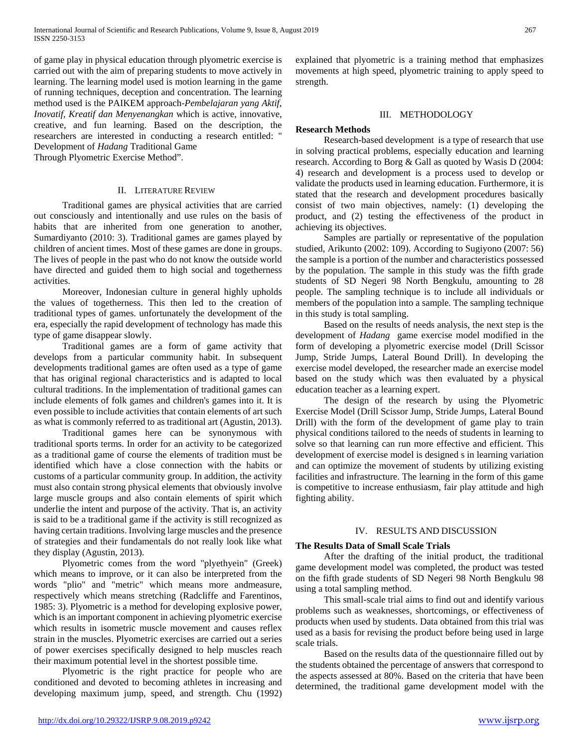of game play in physical education through plyometric exercise is carried out with the aim of preparing students to move actively in learning. The learning model used is motion learning in the game of running techniques, deception and concentration. The learning method used is the PAIKEM approach-*Pembelajaran yang Aktif, Inovatif, Kreatif dan Menyenangkan* which is active, innovative, creative, and fun learning. Based on the description, the researchers are interested in conducting a research entitled: " Development of *Hadang* Traditional Game

Through Plyometric Exercise Method".

#### II. LITERATURE REVIEW

 Traditional games are physical activities that are carried out consciously and intentionally and use rules on the basis of habits that are inherited from one generation to another, Sumardiyanto (2010: 3). Traditional games are games played by children of ancient times. Most of these games are done in groups. The lives of people in the past who do not know the outside world have directed and guided them to high social and togetherness activities.

 Moreover, Indonesian culture in general highly upholds the values of togetherness. This then led to the creation of traditional types of games. unfortunately the development of the era, especially the rapid development of technology has made this type of game disappear slowly.

 Traditional games are a form of game activity that develops from a particular community habit. In subsequent developments traditional games are often used as a type of game that has original regional characteristics and is adapted to local cultural traditions. In the implementation of traditional games can include elements of folk games and children's games into it. It is even possible to include activities that contain elements of art such as what is commonly referred to as traditional art (Agustin, 2013).

 Traditional games here can be synonymous with traditional sports terms. In order for an activity to be categorized as a traditional game of course the elements of tradition must be identified which have a close connection with the habits or customs of a particular community group. In addition, the activity must also contain strong physical elements that obviously involve large muscle groups and also contain elements of spirit which underlie the intent and purpose of the activity. That is, an activity is said to be a traditional game if the activity is still recognized as having certain traditions. Involving large muscles and the presence of strategies and their fundamentals do not really look like what they display (Agustin, 2013).

 Plyometric comes from the word "plyethyein" (Greek) which means to improve, or it can also be interpreted from the words "plio" and "metric" which means more andmeasure, respectively which means stretching (Radcliffe and Farentinos, 1985: 3). Plyometric is a method for developing explosive power, which is an important component in achieving plyometric exercise which results in isometric muscle movement and causes reflex strain in the muscles. Plyometric exercises are carried out a series of power exercises specifically designed to help muscles reach their maximum potential level in the shortest possible time.

 Plyometric is the right practice for people who are conditioned and devoted to becoming athletes in increasing and developing maximum jump, speed, and strength. Chu (1992)

explained that plyometric is a training method that emphasizes movements at high speed, plyometric training to apply speed to strength.

## III. METHODOLOGY

## **Research Methods**

 Research-based development is a type of research that use in solving practical problems, especially education and learning research. According to Borg & Gall as quoted by Wasis D (2004: 4) research and development is a process used to develop or validate the products used in learning education. Furthermore, it is stated that the research and development procedures basically consist of two main objectives, namely: (1) developing the product, and (2) testing the effectiveness of the product in achieving its objectives.

 Samples are partially or representative of the population studied, Arikunto (2002: 109). According to Sugiyono (2007: 56) the sample is a portion of the number and characteristics possessed by the population. The sample in this study was the fifth grade students of SD Negeri 98 North Bengkulu, amounting to 28 people. The sampling technique is to include all individuals or members of the population into a sample. The sampling technique in this study is total sampling.

 Based on the results of needs analysis, the next step is the development of *Hadang* game exercise model modified in the form of developing a plyometric exercise model (Drill Scissor Jump, Stride Jumps, Lateral Bound Drill). In developing the exercise model developed, the researcher made an exercise model based on the study which was then evaluated by a physical education teacher as a learning expert.

 The design of the research by using the Plyometric Exercise Model (Drill Scissor Jump, Stride Jumps, Lateral Bound Drill) with the form of the development of game play to train physical conditions tailored to the needs of students in learning to solve so that learning can run more effective and efficient. This development of exercise model is designed s in learning variation and can optimize the movement of students by utilizing existing facilities and infrastructure. The learning in the form of this game is competitive to increase enthusiasm, fair play attitude and high fighting ability.

## IV. RESULTS AND DISCUSSION

## **The Results Data of Small Scale Trials**

 After the drafting of the initial product, the traditional game development model was completed, the product was tested on the fifth grade students of SD Negeri 98 North Bengkulu 98 using a total sampling method.

 This small-scale trial aims to find out and identify various problems such as weaknesses, shortcomings, or effectiveness of products when used by students. Data obtained from this trial was used as a basis for revising the product before being used in large scale trials.

 Based on the results data of the questionnaire filled out by the students obtained the percentage of answers that correspond to the aspects assessed at 80%. Based on the criteria that have been determined, the traditional game development model with the